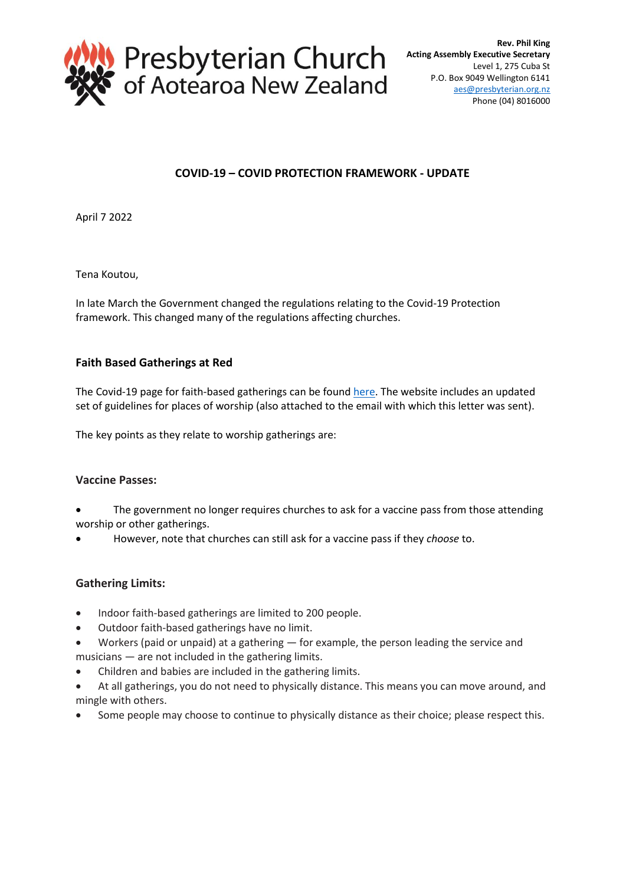

# **COVID-19 – COVID PROTECTION FRAMEWORK - UPDATE**

April 7 2022

Tena Koutou,

In late March the Government changed the regulations relating to the Covid-19 Protection framework. This changed many of the regulations affecting churches.

# **Faith Based Gatherings at Red**

The Covid-19 page for faith-based gatherings can be found [here.](https://covid19.govt.nz/traffic-lights/life-at-red/gatherings-and-visits-at-red/faith-based-gatherings-at-red/) The website includes an updated set of guidelines for places of worship (also attached to the email with which this letter was sent).

The key points as they relate to worship gatherings are:

## **Vaccine Passes:**

- The government no longer requires churches to ask for a vaccine pass from those attending worship or other gatherings.
- However, note that churches can still ask for a vaccine pass if they *choose* to.

## **Gathering Limits:**

- Indoor faith-based gatherings are limited to 200 people.
- Outdoor faith-based gatherings have no limit.
- Workers (paid or unpaid) at a gathering for example, the person leading the service and musicians — are not included in the gathering limits.
- Children and babies are included in the gathering limits.
- At all gatherings, you do not need to physically distance. This means you can move around, and mingle with others.
- Some people may choose to continue to physically distance as their choice; please respect this.